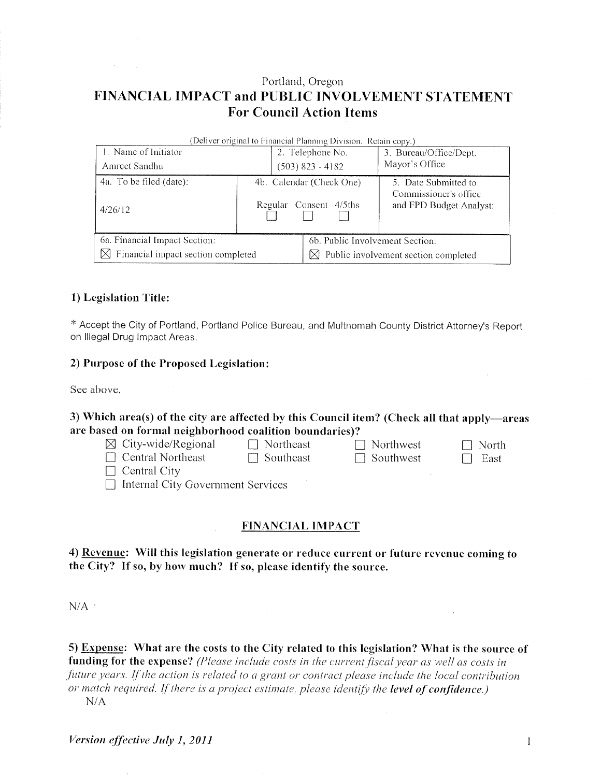## Portland, Oregon FINANCIAL IMPACT and PUBLIC INVOLVEMENT STATEMENT **For Council Action Items**

| (Deliver original to Financial Planning Division. Retain copy.) |                          |                    |                                             |                                                  |  |  |
|-----------------------------------------------------------------|--------------------------|--------------------|---------------------------------------------|--------------------------------------------------|--|--|
| 1. Name of Initiator                                            |                          | 2. Telephone No.   |                                             | 3. Bureau/Office/Dept.                           |  |  |
| Amreet Sandhu                                                   |                          | $(503)$ 823 - 4182 |                                             | Mayor's Office                                   |  |  |
| 4a. To be filed (date):                                         | 4b. Calendar (Check One) |                    |                                             | 5. Date Submitted to                             |  |  |
| 4/26/12                                                         |                          |                    | Regular Consent 4/5ths                      | Commissioner's office<br>and FPD Budget Analyst: |  |  |
| 6a. Financial Impact Section:                                   |                          |                    | 6b. Public Involvement Section:             |                                                  |  |  |
| $\boxtimes$ Financial impact section completed                  |                          |                    | Public involvement section completed<br>IХI |                                                  |  |  |

## 1) Legislation Title:

\* Accept the City of Portland, Portland Police Bureau, and Multnomah County District Attorney's Report on Illegal Drug Impact Areas.

#### 2) Purpose of the Proposed Legislation:

See above.

## 3) Which area(s) of the city are affected by this Council item? (Check all that apply—areas are based on formal neighborhood coalition boundaries)?

| $\boxtimes$ City-wide/Regional           | $\Box$ Northeast | $\Box$ Northwest | North          |
|------------------------------------------|------------------|------------------|----------------|
| $\Box$ Central Northeast                 | $\Box$ Southeast | $\Box$ Southwest | East<br>$\Box$ |
| $\Box$ Central City                      |                  |                  |                |
| $\Box$ Internal City Government Services |                  |                  |                |

#### **FINANCIAL IMPACT**

## 4) Revenue: Will this legislation generate or reduce current or future revenue coming to the City? If so, by how much? If so, please identify the source.

 $N/A$ .

5) Expense: What are the costs to the City related to this legislation? What is the source of funding for the expense? (Please include costs in the current fiscal year as well as costs in future years. If the action is related to a grant or contract please include the local contribution or match required. If there is a project estimate, please identify the level of confidence.)  $N/A$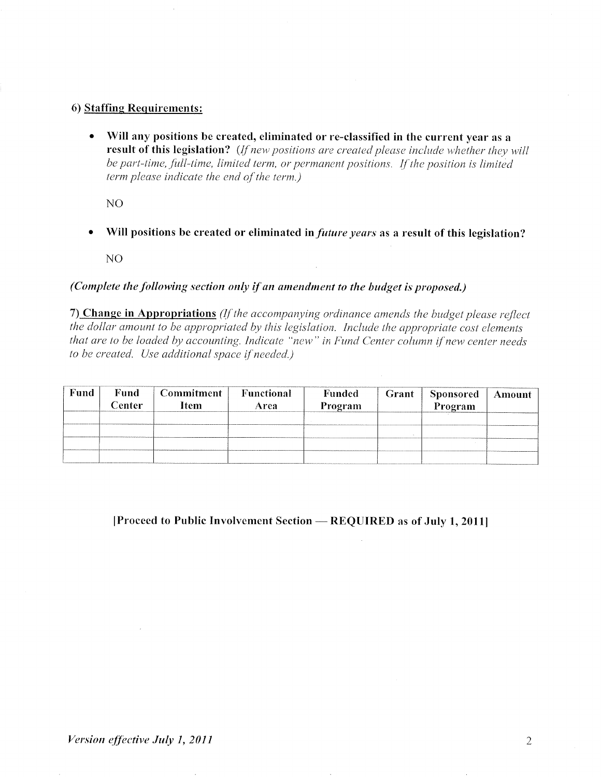## 6) Staffing Requirements:

Will any positions be created, eliminated or re-classified in the current year as a  $\bullet$ result of this legislation? (If new positions are created please include whether they will be part-time, full-time, limited term, or permanent positions. If the position is limited term please indicate the end of the term.)

N<sub>O</sub>

Will positions be created or eliminated in *future years* as a result of this legislation?  $\bullet$ 

NO

## (Complete the following section only if an amendment to the budget is proposed.)

7) Change in Appropriations (If the accompanying ordinance amends the budget please reflect the dollar amount to be appropriated by this legislation. Include the appropriate cost elements that are to be loaded by accounting. Indicate "new" in Fund Center column if new center needs to be created. Use additional space if needed.)

| <b>Fund</b> | Fund<br>Center | Commitment<br>Item | Functional<br>Area | Funded<br>Program | Grant | Sponsored<br>Program | Amount |
|-------------|----------------|--------------------|--------------------|-------------------|-------|----------------------|--------|
|             |                |                    |                    |                   |       |                      |        |
|             |                |                    |                    |                   |       |                      |        |
|             |                |                    |                    |                   |       |                      |        |
|             |                |                    |                    |                   |       |                      |        |

## [Proceed to Public Involvement Section – REQUIRED as of July 1, 2011]

 $\sim$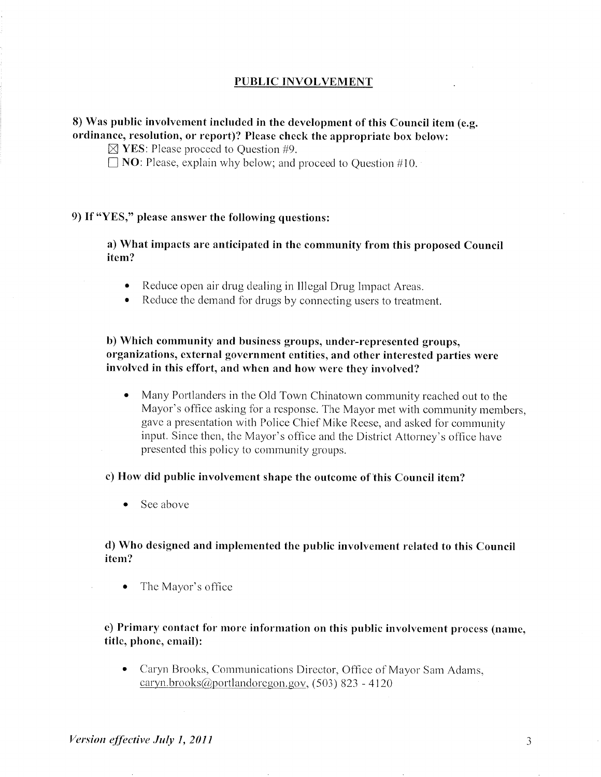#### **PUBLIC INVOLVEMENT**

## 8) Was public involvement included in the development of this Council item (e.g. ordinance, resolution, or report)? Please check the appropriate box below:

 $\boxtimes$  YES: Please proceed to Question #9.

 $\Box$  NO: Please, explain why below; and proceed to Ouestion #10.

## 9) If "YES," please answer the following questions:

a) What impacts are anticipated in the community from this proposed Council item?

- Reduce open air drug dealing in Illegal Drug Impact Areas.
- Reduce the demand for drugs by connecting users to treatment.

b) Which community and business groups, under-represented groups, organizations, external government entities, and other interested parties were involved in this effort, and when and how were they involved?

Many Portlanders in the Old Town Chinatown community reached out to the  $\bullet$ Mayor's office asking for a response. The Mayor met with community members, gave a presentation with Police Chief Mike Reese, and asked for community input. Since then, the Mayor's office and the District Attorney's office have presented this policy to community groups.

#### c) How did public involvement shape the outcome of this Council item?

 $\bullet$  See above

#### d) Who designed and implemented the public involvement related to this Council item?

• The Mayor's office

## e) Primary contact for more information on this public involvement process (name. title, phone, email):

• Caryn Brooks, Communications Director, Office of Mayor Sam Adams,  $caryn.brooks(\omega)$ portlandoregon.gov, (503) 823 - 4120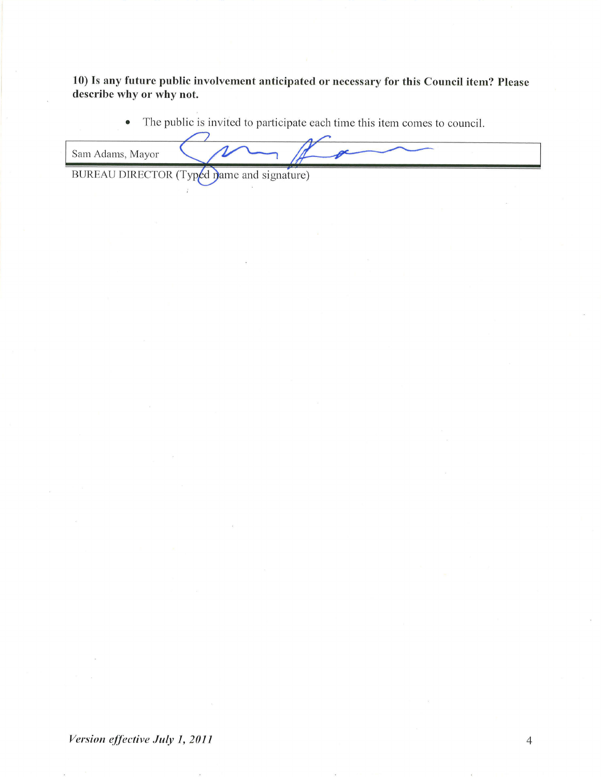10) Is any future public involvement anticipated or necessary for this Council item? Please describe why or why not.

> The public is invited to participate each time this item comes to council.  $\bullet$

Sam Adams, Mayor

BUREAU DIRECTOR (Typed mame and signature)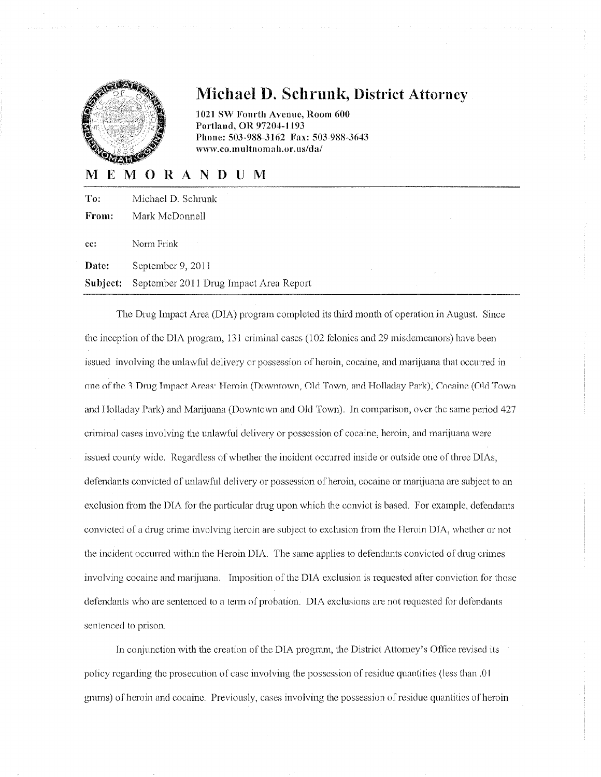

# **Michael D. Schrunk, District Attorney**

1021 SW Fourth Avenue, Room 600 Portland, OR 97204-1193 Phone: 503-988-3162 Fax: 503-988-3643 www.co.multnomah.or.us/da/

## MEMORANDUM

| To:      | Michael D. Schrunk                     |
|----------|----------------------------------------|
| From:    | Mark McDonnell                         |
| cc:      | Norm Frink                             |
| Date:    | September 9, 2011                      |
| Subject: | September 2011 Drug Impact Area Report |

The Drug Impact Area (DIA) program completed its third month of operation in August. Since the inception of the DIA program, 131 criminal cases (102 felonies and 29 misdemeanors) have been issued involving the unlawful delivery or possession of heroin, cocaine, and marijuana that occurred in one of the 3 Drug Impact Areas: Heroin (Downtown, Old Town, and Holladay Park), Cocaine (Old Town and Holladay Park) and Marijuana (Downtown and Old Town). In comparison, over the same period 427 criminal cases involving the unlawful delivery or possession of cocaine, heroin, and marijuana were issued county wide. Regardless of whether the incident occurred inside or outside one of three DIAs, defendants convicted of unlawful delivery or possession of heroin, cocaine or marijuana are subject to an exclusion from the DIA for the particular drug upon which the convict is based. For example, defendants convicted of a drug crime involving heroin are subject to exclusion from the Heroin DIA, whether or not the incident occurred within the Heroin DIA. The same applies to defendants convicted of drug crimes involving cocaine and marijuana. Imposition of the DIA exclusion is requested after conviction for those defendants who are sentenced to a term of probation. DIA exclusions are not requested for defendants sentenced to prison.

In conjunction with the creation of the DIA program, the District Attorney's Office revised its policy regarding the prosecution of case involving the possession of residue quantities (less than .01 grams) of heroin and cocaine. Previously, cases involving the possession of residue quantities of heroin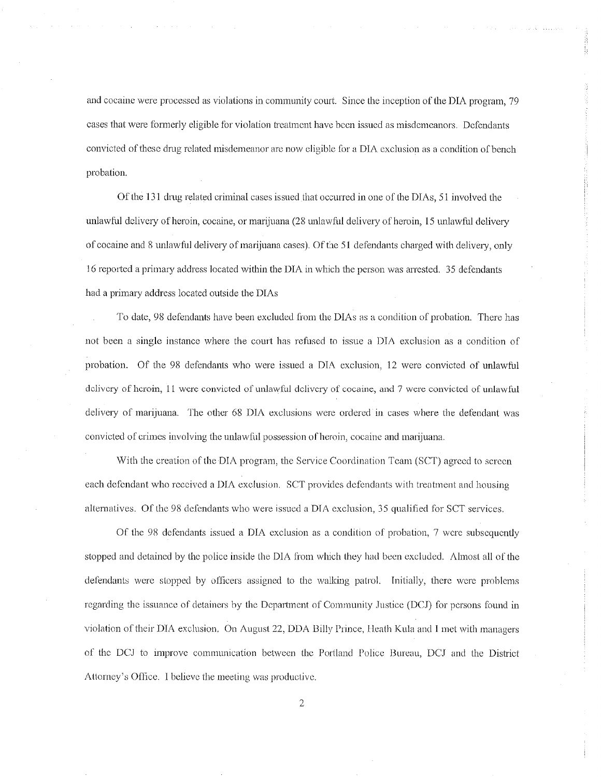and cocaine were processed as violations in community court. Since the inception of the DIA program, 79 cases that were formerly eligible for violation treatment have been issued as misdemeanors. Defendants convicted of these drug related misdemeanor are now eligible for a DIA exclusion as a condition of bench probation.

I,

Of the 131 drug related criminal cases issued that occurred in one of the DIAs, 51 involved the unlawful delivery of heroin, cocaine, or marijuana (28 unlawful delivery of heroin, 15 unlawful delivery of cocaine and 8 unlawful delivery of marijuana cases). Of the 51 defendants charged with delivery, only 16 reported a primary address located within the DIA in which the person was arrested. 35 defendants had a primary address located outside the DIAs

To date, 98 defendants have been excluded from the DIAs as a condition of probation. There has not been a single instance where the court has refused to issue a DIA exclusion as a condition of probation. Of the 98 defendants who were issued a DIA exclusion, 12 were convicted of unlawful delivery of heroin, 11 were convicted of unlawful delivery of cocaine, and 7 were convicted of unlawful delivery of marijuana. The other 68 DIA exclusions were ordered in cases where the defendant was convicted of crimes involving the unlawful possession of heroin, cocaine and marijuana.

With the creation of the DIA program, the Service Coordination Team (SCT) agreed to screen each defendant who received a DIA exclusion. SCT provides defendants with treatment and housing alternatives. Of the 98 defendants who were issued a DIA exclusion, 35 qualified for SCT services.

Of the 98 defendants issued a DIA exclusion as a condition of probation, 7 were subsequently stopped and detained by the police inside the DIA from which they had been excluded. Almost all of the defendants were stopped by officers assigned to the walking patrol. Initially, there were problems regarding the issuance of detainers by the Department of Community Justice (DCJ) for persons found in violation of their DIA exclusion. On August 22, DDA Billy Prince, Heath Kula and I met with managers of the DCJ to improve communication between the Portland Police Bureau, DCJ and the District Attorney's Office. I believe the meeting was productive.

 $\overline{2}$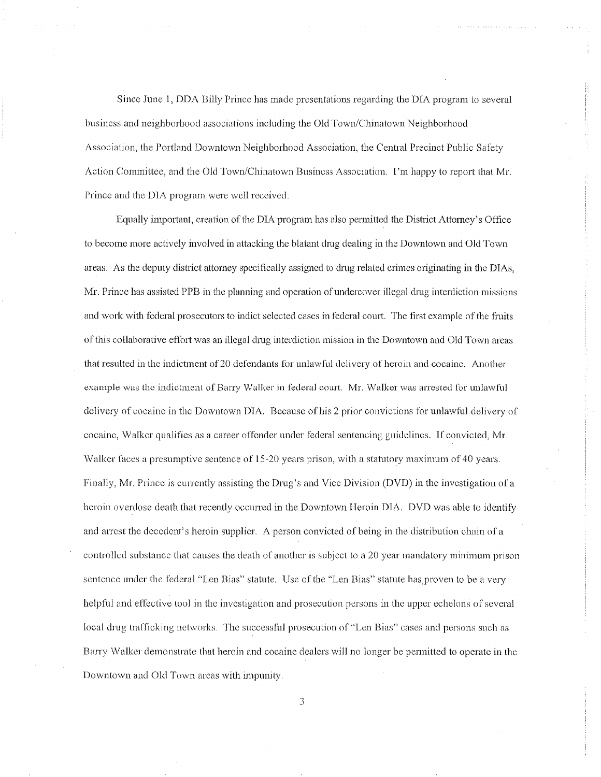Since June 1, DDA Billy Prince has made presentations regarding the DIA program to several business and neighborhood associations including the Old Town/Chinatown Neighborhood Association, the Portland Downtown Neighborhood Association, the Central Precinct Public Safety Action Committee, and the Old Town/Chinatown Business Association. I'm happy to report that Mr. Prince and the DIA program were well received.

Equally important, creation of the DIA program has also permitted the District Attorney's Office to become more actively involved in attacking the blatant drug dealing in the Downtown and Old Town areas. As the deputy district attorney specifically assigned to drug related crimes originating in the DIAs, Mr. Prince has assisted PPB in the planning and operation of undercover illegal drug interdiction missions and work with federal prosecutors to indict selected cases in federal court. The first example of the fruits of this collaborative effort was an illegal drug interdiction mission in the Downtown and Old Town areas that resulted in the indictment of 20 defendants for unlawful delivery of heroin and cocaine. Another example was the indictment of Barry Walker in federal court. Mr. Walker was arrested for unlawful delivery of cocaine in the Downtown DIA. Because of his 2 prior convictions for unlawful delivery of cocaine, Walker qualifies as a career offender under federal sentencing guidelines. If convicted, Mr. Walker faces a presumptive sentence of 15-20 years prison, with a statutory maximum of 40 years. Finally, Mr. Prince is currently assisting the Drug's and Vice Division (DVD) in the investigation of a heroin overdose death that recently occurred in the Downtown Heroin DIA. DVD was able to identify and arrest the decedent's heroin supplier. A person convicted of being in the distribution chain of a controlled substance that causes the death of another is subject to a 20 year mandatory minimum prison sentence under the federal "Len Bias" statute. Use of the "Len Bias" statute has proven to be a very helpful and effective tool in the investigation and prosecution persons in the upper echelons of several local drug trafficking networks. The successful prosecution of "Len Bias" cases and persons such as Barry Walker demonstrate that heroin and cocaine dealers will no longer be permitted to operate in the Downtown and Old Town areas with impunity.

3